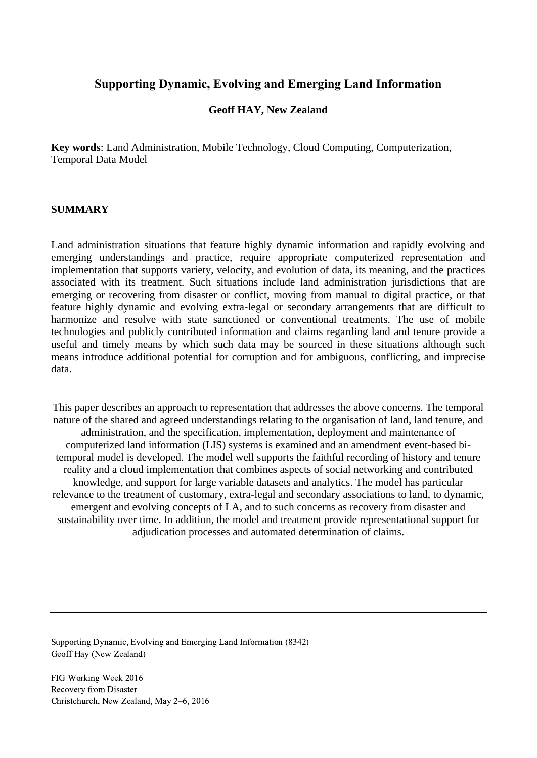# **Supporting Dynamic, Evolving and Emerging Land Information**

## **Geoff HAY, New Zealand**

**Key words**: Land Administration, Mobile Technology, Cloud Computing, Computerization, Temporal Data Model

#### **SUMMARY**

Land administration situations that feature highly dynamic information and rapidly evolving and emerging understandings and practice, require appropriate computerized representation and implementation that supports variety, velocity, and evolution of data, its meaning, and the practices associated with its treatment. Such situations include land administration jurisdictions that are emerging or recovering from disaster or conflict, moving from manual to digital practice, or that feature highly dynamic and evolving extra-legal or secondary arrangements that are difficult to harmonize and resolve with state sanctioned or conventional treatments. The use of mobile technologies and publicly contributed information and claims regarding land and tenure provide a useful and timely means by which such data may be sourced in these situations although such means introduce additional potential for corruption and for ambiguous, conflicting, and imprecise data.

This paper describes an approach to representation that addresses the above concerns. The temporal nature of the shared and agreed understandings relating to the organisation of land, land tenure, and administration, and the specification, implementation, deployment and maintenance of computerized land information (LIS) systems is examined and an amendment event-based bitemporal model is developed. The model well supports the faithful recording of history and tenure reality and a cloud implementation that combines aspects of social networking and contributed knowledge, and support for large variable datasets and analytics. The model has particular relevance to the treatment of customary, extra-legal and secondary associations to land, to dynamic, emergent and evolving concepts of LA, and to such concerns as recovery from disaster and sustainability over time. In addition, the model and treatment provide representational support for adjudication processes and automated determination of claims.

Supporting Dynamic, Evolving and Emerging Land Information (8342) Geoff Hay (New Zealand)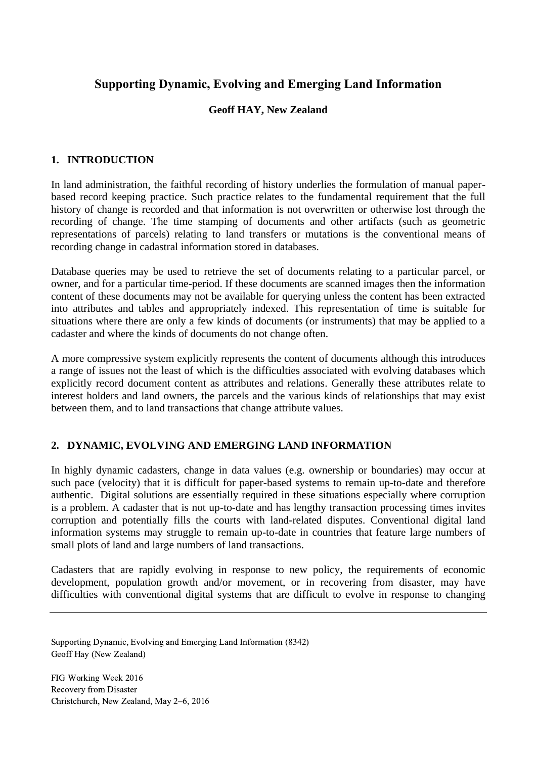# **Supporting Dynamic, Evolving and Emerging Land Information**

# **Geoff HAY, New Zealand**

## **1. INTRODUCTION**

In land administration, the faithful recording of history underlies the formulation of manual paperbased record keeping practice. Such practice relates to the fundamental requirement that the full history of change is recorded and that information is not overwritten or otherwise lost through the recording of change. The time stamping of documents and other artifacts (such as geometric representations of parcels) relating to land transfers or mutations is the conventional means of recording change in cadastral information stored in databases.

Database queries may be used to retrieve the set of documents relating to a particular parcel, or owner, and for a particular time-period. If these documents are scanned images then the information content of these documents may not be available for querying unless the content has been extracted into attributes and tables and appropriately indexed. This representation of time is suitable for situations where there are only a few kinds of documents (or instruments) that may be applied to a cadaster and where the kinds of documents do not change often.

A more compressive system explicitly represents the content of documents although this introduces a range of issues not the least of which is the difficulties associated with evolving databases which explicitly record document content as attributes and relations. Generally these attributes relate to interest holders and land owners, the parcels and the various kinds of relationships that may exist between them, and to land transactions that change attribute values.

### **2. DYNAMIC, EVOLVING AND EMERGING LAND INFORMATION**

In highly dynamic cadasters, change in data values (e.g. ownership or boundaries) may occur at such pace (velocity) that it is difficult for paper-based systems to remain up-to-date and therefore authentic. Digital solutions are essentially required in these situations especially where corruption is a problem. A cadaster that is not up-to-date and has lengthy transaction processing times invites corruption and potentially fills the courts with land-related disputes. Conventional digital land information systems may struggle to remain up-to-date in countries that feature large numbers of small plots of land and large numbers of land transactions.

Cadasters that are rapidly evolving in response to new policy, the requirements of economic development, population growth and/or movement, or in recovering from disaster, may have difficulties with conventional digital systems that are difficult to evolve in response to changing

Supporting Dynamic, Evolving and Emerging Land Information (8342) Geoff Hay (New Zealand)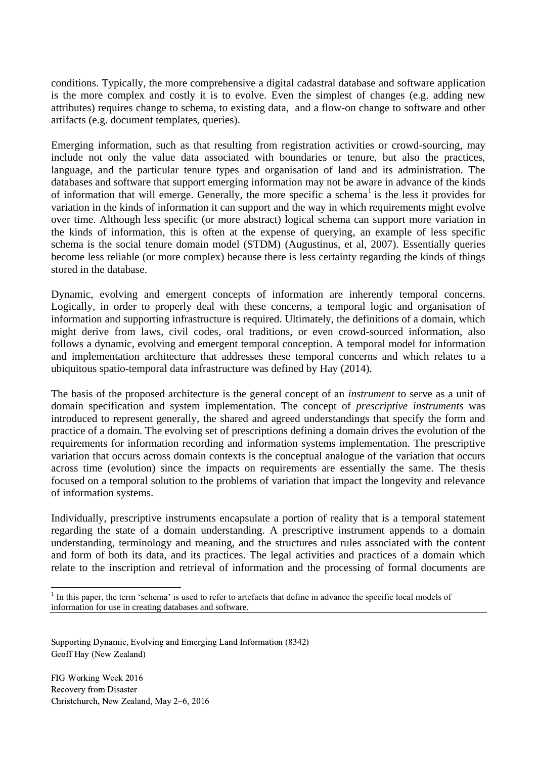conditions. Typically, the more comprehensive a digital cadastral database and software application is the more complex and costly it is to evolve. Even the simplest of changes (e.g. adding new attributes) requires change to schema, to existing data, and a flow-on change to software and other artifacts (e.g. document templates, queries).

Emerging information, such as that resulting from registration activities or crowd-sourcing, may include not only the value data associated with boundaries or tenure, but also the practices, language, and the particular tenure types and organisation of land and its administration. The databases and software that support emerging information may not be aware in advance of the kinds of information that will emerge. Generally, the more specific a schema<sup>1</sup> is the less it provides for variation in the kinds of information it can support and the way in which requirements might evolve over time. Although less specific (or more abstract) logical schema can support more variation in the kinds of information, this is often at the expense of querying, an example of less specific schema is the social tenure domain model (STDM) (Augustinus, et al, 2007). Essentially queries become less reliable (or more complex) because there is less certainty regarding the kinds of things stored in the database.

Dynamic, evolving and emergent concepts of information are inherently temporal concerns. Logically, in order to properly deal with these concerns, a temporal logic and organisation of information and supporting infrastructure is required. Ultimately, the definitions of a domain, which might derive from laws, civil codes, oral traditions, or even crowd-sourced information, also follows a dynamic, evolving and emergent temporal conception. A temporal model for information and implementation architecture that addresses these temporal concerns and which relates to a ubiquitous spatio-temporal data infrastructure was defined by Hay (2014).

The basis of the proposed architecture is the general concept of an *instrument* to serve as a unit of domain specification and system implementation. The concept of *prescriptive instruments* was introduced to represent generally, the shared and agreed understandings that specify the form and practice of a domain. The evolving set of prescriptions defining a domain drives the evolution of the requirements for information recording and information systems implementation. The prescriptive variation that occurs across domain contexts is the conceptual analogue of the variation that occurs across time (evolution) since the impacts on requirements are essentially the same. The thesis focused on a temporal solution to the problems of variation that impact the longevity and relevance of information systems.

Individually, prescriptive instruments encapsulate a portion of reality that is a temporal statement regarding the state of a domain understanding. A prescriptive instrument appends to a domain understanding, terminology and meaning, and the structures and rules associated with the content and form of both its data, and its practices. The legal activities and practices of a domain which relate to the inscription and retrieval of information and the processing of formal documents are

Supporting Dynamic, Evolving and Emerging Land Information (8342) Geoff Hay (New Zealand)

FIG Working Week 2016 Recovery from Disaster Christchurch, New Zealand, May 2–6, 2016

 $\overline{a}$ 

<sup>&</sup>lt;sup>1</sup> In this paper, the term 'schema' is used to refer to artefacts that define in advance the specific local models of information for use in creating databases and software.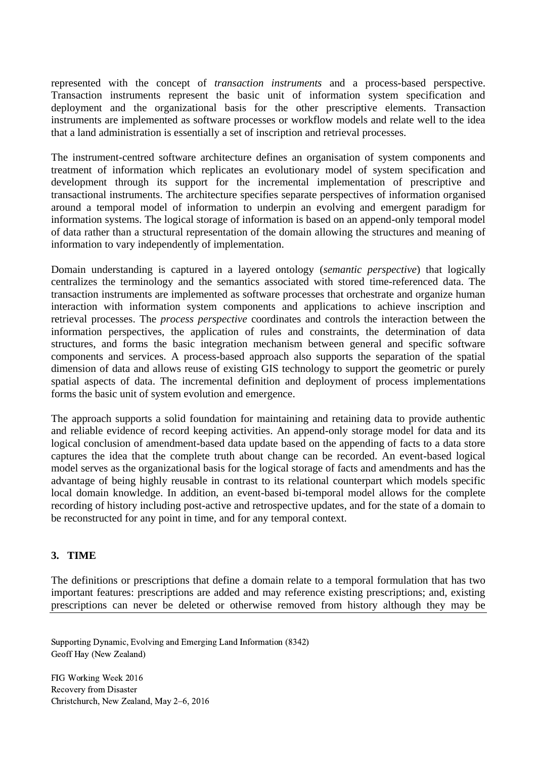represented with the concept of *transaction instruments* and a process-based perspective. Transaction instruments represent the basic unit of information system specification and deployment and the organizational basis for the other prescriptive elements. Transaction instruments are implemented as software processes or workflow models and relate well to the idea that a land administration is essentially a set of inscription and retrieval processes.

The instrument-centred software architecture defines an organisation of system components and treatment of information which replicates an evolutionary model of system specification and development through its support for the incremental implementation of prescriptive and transactional instruments. The architecture specifies separate perspectives of information organised around a temporal model of information to underpin an evolving and emergent paradigm for information systems. The logical storage of information is based on an append-only temporal model of data rather than a structural representation of the domain allowing the structures and meaning of information to vary independently of implementation.

Domain understanding is captured in a layered ontology (*semantic perspective*) that logically centralizes the terminology and the semantics associated with stored time-referenced data. The transaction instruments are implemented as software processes that orchestrate and organize human interaction with information system components and applications to achieve inscription and retrieval processes. The *process perspective* coordinates and controls the interaction between the information perspectives, the application of rules and constraints, the determination of data structures, and forms the basic integration mechanism between general and specific software components and services. A process-based approach also supports the separation of the spatial dimension of data and allows reuse of existing GIS technology to support the geometric or purely spatial aspects of data. The incremental definition and deployment of process implementations forms the basic unit of system evolution and emergence.

The approach supports a solid foundation for maintaining and retaining data to provide authentic and reliable evidence of record keeping activities. An append-only storage model for data and its logical conclusion of amendment-based data update based on the appending of facts to a data store captures the idea that the complete truth about change can be recorded. An event-based logical model serves as the organizational basis for the logical storage of facts and amendments and has the advantage of being highly reusable in contrast to its relational counterpart which models specific local domain knowledge. In addition, an event-based bi-temporal model allows for the complete recording of history including post-active and retrospective updates, and for the state of a domain to be reconstructed for any point in time, and for any temporal context.

### **3. TIME**

The definitions or prescriptions that define a domain relate to a temporal formulation that has two important features: prescriptions are added and may reference existing prescriptions; and, existing prescriptions can never be deleted or otherwise removed from history although they may be

Supporting Dynamic, Evolving and Emerging Land Information (8342) Geoff Hay (New Zealand)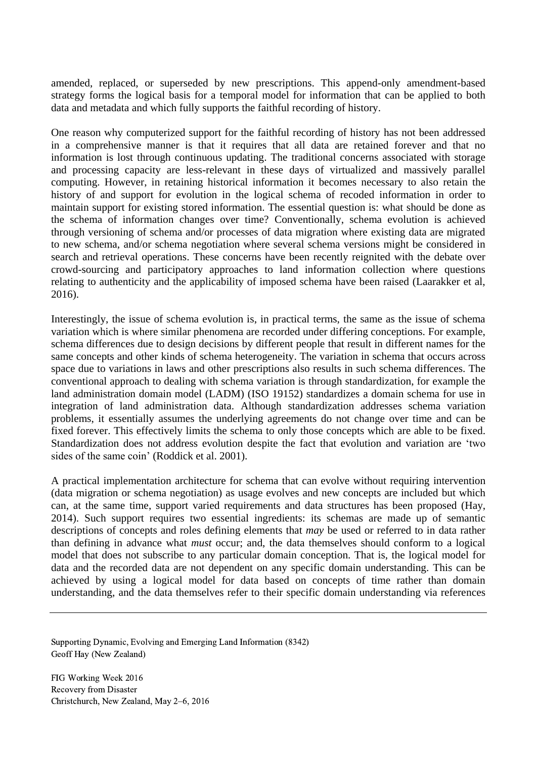amended, replaced, or superseded by new prescriptions. This append-only amendment-based strategy forms the logical basis for a temporal model for information that can be applied to both data and metadata and which fully supports the faithful recording of history.

One reason why computerized support for the faithful recording of history has not been addressed in a comprehensive manner is that it requires that all data are retained forever and that no information is lost through continuous updating. The traditional concerns associated with storage and processing capacity are less-relevant in these days of virtualized and massively parallel computing. However, in retaining historical information it becomes necessary to also retain the history of and support for evolution in the logical schema of recoded information in order to maintain support for existing stored information. The essential question is: what should be done as the schema of information changes over time? Conventionally, schema evolution is achieved through versioning of schema and/or processes of data migration where existing data are migrated to new schema, and/or schema negotiation where several schema versions might be considered in search and retrieval operations. These concerns have been recently reignited with the debate over crowd-sourcing and participatory approaches to land information collection where questions relating to authenticity and the applicability of imposed schema have been raised (Laarakker et al, 2016).

Interestingly, the issue of schema evolution is, in practical terms, the same as the issue of schema variation which is where similar phenomena are recorded under differing conceptions. For example, schema differences due to design decisions by different people that result in different names for the same concepts and other kinds of schema heterogeneity. The variation in schema that occurs across space due to variations in laws and other prescriptions also results in such schema differences. The conventional approach to dealing with schema variation is through standardization, for example the land administration domain model (LADM) (ISO 19152) standardizes a domain schema for use in integration of land administration data. Although standardization addresses schema variation problems, it essentially assumes the underlying agreements do not change over time and can be fixed forever. This effectively limits the schema to only those concepts which are able to be fixed. Standardization does not address evolution despite the fact that evolution and variation are 'two sides of the same coin' (Roddick et al. 2001).

A practical implementation architecture for schema that can evolve without requiring intervention (data migration or schema negotiation) as usage evolves and new concepts are included but which can, at the same time, support varied requirements and data structures has been proposed (Hay, 2014). Such support requires two essential ingredients: its schemas are made up of semantic descriptions of concepts and roles defining elements that *may* be used or referred to in data rather than defining in advance what *must* occur; and, the data themselves should conform to a logical model that does not subscribe to any particular domain conception. That is, the logical model for data and the recorded data are not dependent on any specific domain understanding. This can be achieved by using a logical model for data based on concepts of time rather than domain understanding, and the data themselves refer to their specific domain understanding via references

Supporting Dynamic, Evolving and Emerging Land Information (8342) Geoff Hay (New Zealand)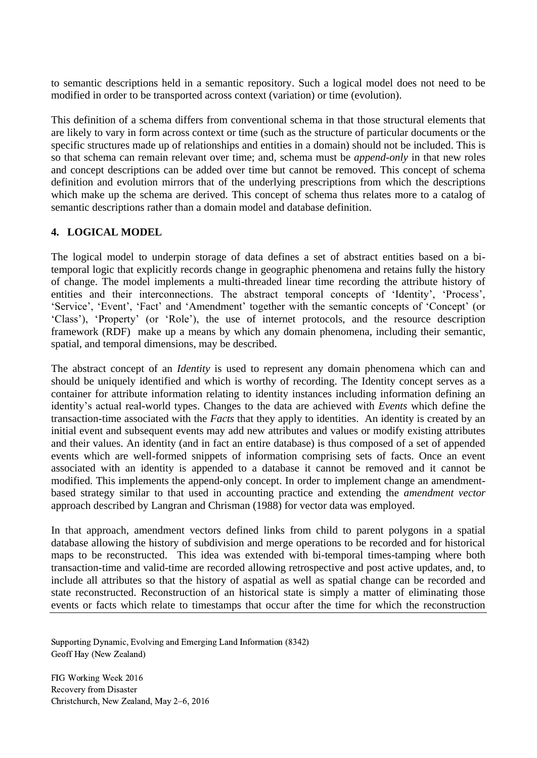to semantic descriptions held in a semantic repository. Such a logical model does not need to be modified in order to be transported across context (variation) or time (evolution).

This definition of a schema differs from conventional schema in that those structural elements that are likely to vary in form across context or time (such as the structure of particular documents or the specific structures made up of relationships and entities in a domain) should not be included. This is so that schema can remain relevant over time; and, schema must be *append-only* in that new roles and concept descriptions can be added over time but cannot be removed. This concept of schema definition and evolution mirrors that of the underlying prescriptions from which the descriptions which make up the schema are derived. This concept of schema thus relates more to a catalog of semantic descriptions rather than a domain model and database definition.

## **4. LOGICAL MODEL**

The logical model to underpin storage of data defines a set of abstract entities based on a bitemporal logic that explicitly records change in geographic phenomena and retains fully the history of change. The model implements a multi-threaded linear time recording the attribute history of entities and their interconnections. The abstract temporal concepts of 'Identity', 'Process', 'Service', 'Event', 'Fact' and 'Amendment' together with the semantic concepts of 'Concept' (or 'Class'), 'Property' (or 'Role'), the use of internet protocols, and the resource description framework (RDF) make up a means by which any domain phenomena, including their semantic, spatial, and temporal dimensions, may be described.

The abstract concept of an *Identity* is used to represent any domain phenomena which can and should be uniquely identified and which is worthy of recording. The Identity concept serves as a container for attribute information relating to identity instances including information defining an identity's actual real-world types. Changes to the data are achieved with *Events* which define the transaction-time associated with the *Facts* that they apply to identities. An identity is created by an initial event and subsequent events may add new attributes and values or modify existing attributes and their values. An identity (and in fact an entire database) is thus composed of a set of appended events which are well-formed snippets of information comprising sets of facts. Once an event associated with an identity is appended to a database it cannot be removed and it cannot be modified. This implements the append-only concept. In order to implement change an amendmentbased strategy similar to that used in accounting practice and extending the *amendment vector* approach described by Langran and Chrisman (1988) for vector data was employed.

In that approach, amendment vectors defined links from child to parent polygons in a spatial database allowing the history of subdivision and merge operations to be recorded and for historical maps to be reconstructed. This idea was extended with bi-temporal times-tamping where both transaction-time and valid-time are recorded allowing retrospective and post active updates, and, to include all attributes so that the history of aspatial as well as spatial change can be recorded and state reconstructed. Reconstruction of an historical state is simply a matter of eliminating those events or facts which relate to timestamps that occur after the time for which the reconstruction

Supporting Dynamic, Evolving and Emerging Land Information (8342) Geoff Hay (New Zealand)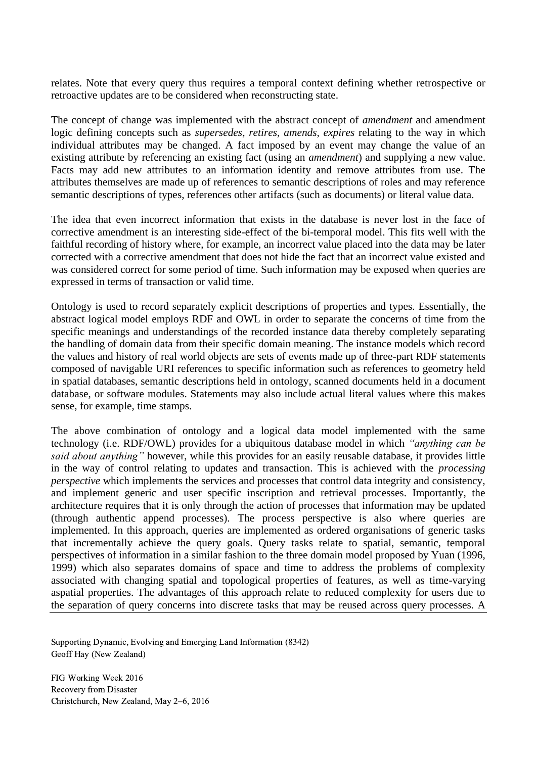relates. Note that every query thus requires a temporal context defining whether retrospective or retroactive updates are to be considered when reconstructing state.

The concept of change was implemented with the abstract concept of *amendment* and amendment logic defining concepts such as *supersedes, retires, amends, expires* relating to the way in which individual attributes may be changed. A fact imposed by an event may change the value of an existing attribute by referencing an existing fact (using an *amendment*) and supplying a new value. Facts may add new attributes to an information identity and remove attributes from use. The attributes themselves are made up of references to semantic descriptions of roles and may reference semantic descriptions of types, references other artifacts (such as documents) or literal value data.

The idea that even incorrect information that exists in the database is never lost in the face of corrective amendment is an interesting side-effect of the bi-temporal model. This fits well with the faithful recording of history where, for example, an incorrect value placed into the data may be later corrected with a corrective amendment that does not hide the fact that an incorrect value existed and was considered correct for some period of time. Such information may be exposed when queries are expressed in terms of transaction or valid time.

Ontology is used to record separately explicit descriptions of properties and types. Essentially, the abstract logical model employs RDF and OWL in order to separate the concerns of time from the specific meanings and understandings of the recorded instance data thereby completely separating the handling of domain data from their specific domain meaning. The instance models which record the values and history of real world objects are sets of events made up of three-part RDF statements composed of navigable URI references to specific information such as references to geometry held in spatial databases, semantic descriptions held in ontology, scanned documents held in a document database, or software modules. Statements may also include actual literal values where this makes sense, for example, time stamps.

The above combination of ontology and a logical data model implemented with the same technology (i.e. RDF/OWL) provides for a ubiquitous database model in which *"anything can be said about anything"* however, while this provides for an easily reusable database, it provides little in the way of control relating to updates and transaction. This is achieved with the *processing perspective* which implements the services and processes that control data integrity and consistency, and implement generic and user specific inscription and retrieval processes. Importantly, the architecture requires that it is only through the action of processes that information may be updated (through authentic append processes). The process perspective is also where queries are implemented. In this approach, queries are implemented as ordered organisations of generic tasks that incrementally achieve the query goals. Query tasks relate to spatial, semantic, temporal perspectives of information in a similar fashion to the three domain model proposed by Yuan (1996, 1999) which also separates domains of space and time to address the problems of complexity associated with changing spatial and topological properties of features, as well as time-varying aspatial properties. The advantages of this approach relate to reduced complexity for users due to the separation of query concerns into discrete tasks that may be reused across query processes. A

Supporting Dynamic, Evolving and Emerging Land Information (8342) Geoff Hay (New Zealand)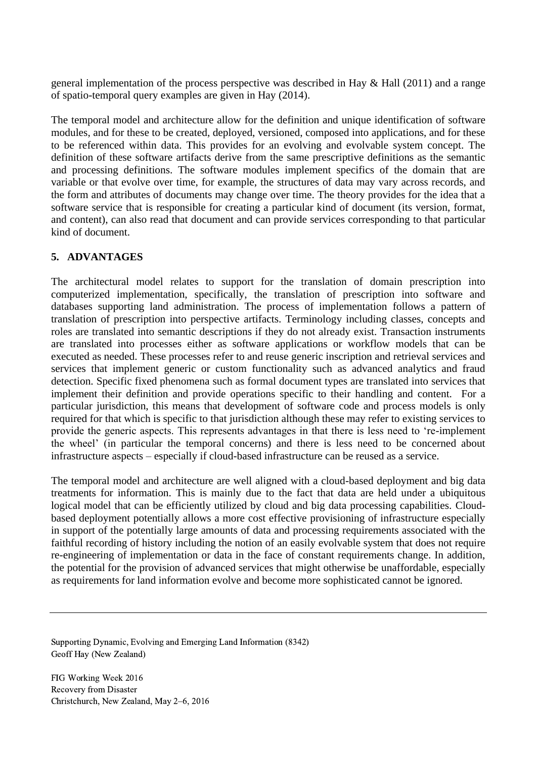general implementation of the process perspective was described in Hay & Hall (2011) and a range of spatio-temporal query examples are given in Hay (2014).

The temporal model and architecture allow for the definition and unique identification of software modules, and for these to be created, deployed, versioned, composed into applications, and for these to be referenced within data. This provides for an evolving and evolvable system concept. The definition of these software artifacts derive from the same prescriptive definitions as the semantic and processing definitions. The software modules implement specifics of the domain that are variable or that evolve over time, for example, the structures of data may vary across records, and the form and attributes of documents may change over time. The theory provides for the idea that a software service that is responsible for creating a particular kind of document (its version, format, and content), can also read that document and can provide services corresponding to that particular kind of document.

## **5. ADVANTAGES**

The architectural model relates to support for the translation of domain prescription into computerized implementation, specifically, the translation of prescription into software and databases supporting land administration. The process of implementation follows a pattern of translation of prescription into perspective artifacts. Terminology including classes, concepts and roles are translated into semantic descriptions if they do not already exist. Transaction instruments are translated into processes either as software applications or workflow models that can be executed as needed. These processes refer to and reuse generic inscription and retrieval services and services that implement generic or custom functionality such as advanced analytics and fraud detection. Specific fixed phenomena such as formal document types are translated into services that implement their definition and provide operations specific to their handling and content. For a particular jurisdiction, this means that development of software code and process models is only required for that which is specific to that jurisdiction although these may refer to existing services to provide the generic aspects. This represents advantages in that there is less need to 're-implement the wheel' (in particular the temporal concerns) and there is less need to be concerned about infrastructure aspects – especially if cloud-based infrastructure can be reused as a service.

The temporal model and architecture are well aligned with a cloud-based deployment and big data treatments for information. This is mainly due to the fact that data are held under a ubiquitous logical model that can be efficiently utilized by cloud and big data processing capabilities. Cloudbased deployment potentially allows a more cost effective provisioning of infrastructure especially in support of the potentially large amounts of data and processing requirements associated with the faithful recording of history including the notion of an easily evolvable system that does not require re-engineering of implementation or data in the face of constant requirements change. In addition, the potential for the provision of advanced services that might otherwise be unaffordable, especially as requirements for land information evolve and become more sophisticated cannot be ignored.

Supporting Dynamic, Evolving and Emerging Land Information (8342) Geoff Hay (New Zealand)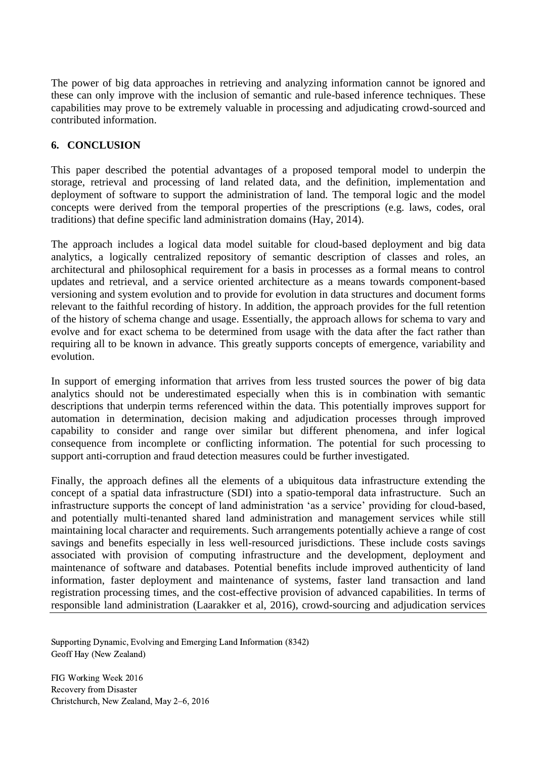The power of big data approaches in retrieving and analyzing information cannot be ignored and these can only improve with the inclusion of semantic and rule-based inference techniques. These capabilities may prove to be extremely valuable in processing and adjudicating crowd-sourced and contributed information.

## **6. CONCLUSION**

This paper described the potential advantages of a proposed temporal model to underpin the storage, retrieval and processing of land related data, and the definition, implementation and deployment of software to support the administration of land. The temporal logic and the model concepts were derived from the temporal properties of the prescriptions (e.g. laws, codes, oral traditions) that define specific land administration domains (Hay, 2014).

The approach includes a logical data model suitable for cloud-based deployment and big data analytics, a logically centralized repository of semantic description of classes and roles, an architectural and philosophical requirement for a basis in processes as a formal means to control updates and retrieval, and a service oriented architecture as a means towards component-based versioning and system evolution and to provide for evolution in data structures and document forms relevant to the faithful recording of history. In addition, the approach provides for the full retention of the history of schema change and usage. Essentially, the approach allows for schema to vary and evolve and for exact schema to be determined from usage with the data after the fact rather than requiring all to be known in advance. This greatly supports concepts of emergence, variability and evolution.

In support of emerging information that arrives from less trusted sources the power of big data analytics should not be underestimated especially when this is in combination with semantic descriptions that underpin terms referenced within the data. This potentially improves support for automation in determination, decision making and adjudication processes through improved capability to consider and range over similar but different phenomena, and infer logical consequence from incomplete or conflicting information. The potential for such processing to support anti-corruption and fraud detection measures could be further investigated.

Finally, the approach defines all the elements of a ubiquitous data infrastructure extending the concept of a spatial data infrastructure (SDI) into a spatio-temporal data infrastructure. Such an infrastructure supports the concept of land administration 'as a service' providing for cloud-based, and potentially multi-tenanted shared land administration and management services while still maintaining local character and requirements. Such arrangements potentially achieve a range of cost savings and benefits especially in less well-resourced jurisdictions. These include costs savings associated with provision of computing infrastructure and the development, deployment and maintenance of software and databases. Potential benefits include improved authenticity of land information, faster deployment and maintenance of systems, faster land transaction and land registration processing times, and the cost-effective provision of advanced capabilities. In terms of responsible land administration (Laarakker et al, 2016), crowd-sourcing and adjudication services

Supporting Dynamic, Evolving and Emerging Land Information (8342) Geoff Hay (New Zealand)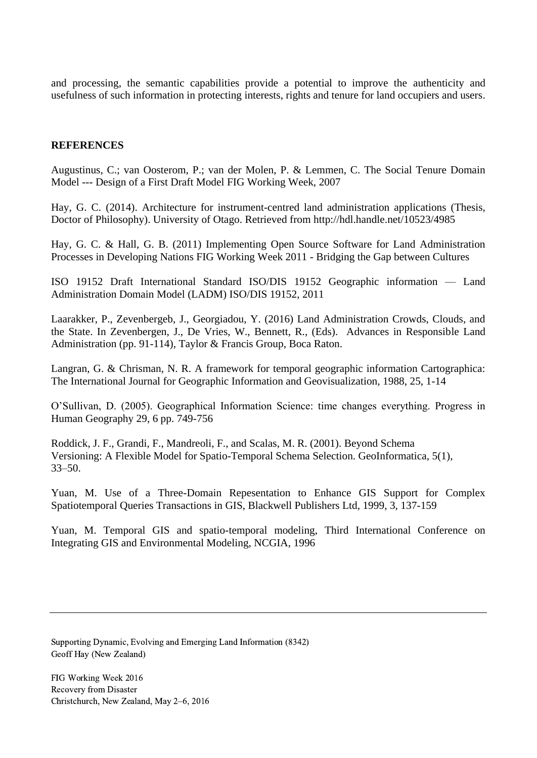and processing, the semantic capabilities provide a potential to improve the authenticity and usefulness of such information in protecting interests, rights and tenure for land occupiers and users.

#### **REFERENCES**

Augustinus, C.; van Oosterom, P.; van der Molen, P. & Lemmen, C. The Social Tenure Domain Model --- Design of a First Draft Model FIG Working Week, 2007

Hay, G. C. (2014). Architecture for instrument-centred land administration applications (Thesis, Doctor of Philosophy). University of Otago. Retrieved from<http://hdl.handle.net/10523/4985>

Hay, G. C. & Hall, G. B. (2011) Implementing Open Source Software for Land Administration Processes in Developing Nations FIG Working Week 2011 - Bridging the Gap between Cultures

ISO 19152 Draft International Standard ISO/DIS 19152 Geographic information — Land Administration Domain Model (LADM) ISO/DIS 19152, 2011

Laarakker, P., Zevenbergeb, J., Georgiadou, Y. (2016) Land Administration Crowds, Clouds, and the State. In Zevenbergen, J., De Vries, W., Bennett, R., (Eds). Advances in Responsible Land Administration (pp. 91-114), Taylor & Francis Group, Boca Raton.

Langran, G. & Chrisman, N. R. A framework for temporal geographic information Cartographica: The International Journal for Geographic Information and Geovisualization, 1988, 25, 1-14

O'Sullivan, D. (2005). Geographical Information Science: time changes everything. Progress in Human Geography 29, 6 pp. 749-756

Roddick, J. F., Grandi, F., Mandreoli, F., and Scalas, M. R. (2001). Beyond Schema Versioning: A Flexible Model for Spatio-Temporal Schema Selection. GeoInformatica, 5(1), 33–50.

Yuan, M. Use of a Three-Domain Repesentation to Enhance GIS Support for Complex Spatiotemporal Queries Transactions in GIS, Blackwell Publishers Ltd, 1999, 3, 137-159

Yuan, M. Temporal GIS and spatio-temporal modeling, Third International Conference on Integrating GIS and Environmental Modeling, NCGIA, 1996

Supporting Dynamic, Evolving and Emerging Land Information (8342) Geoff Hay (New Zealand)